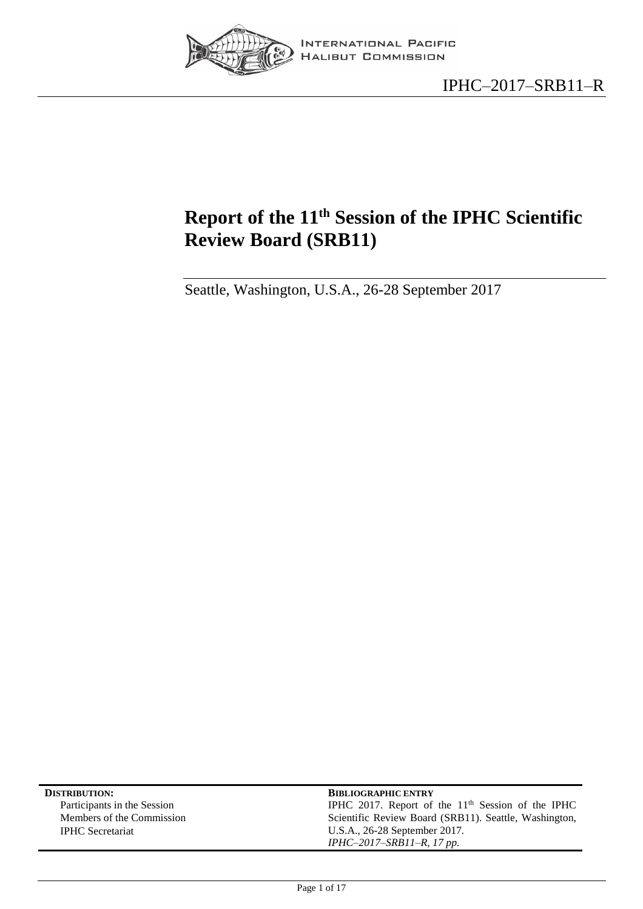

# <span id="page-0-0"></span>**Report of the 11 th Session of the IPHC Scientific Review Board (SRB11)**

Seattle, Washington, U.S.A., 26-28 September 2017

| <b>DISTRIBUTION:</b>        | <b>BIBLIOGRAPHIC ENTRY</b>                            |
|-----------------------------|-------------------------------------------------------|
| Participants in the Session | IPHC 2017. Report of the $11th$ Session of the IPHC   |
| Members of the Commission   | Scientific Review Board (SRB11). Seattle, Washington, |
| <b>IPHC</b> Secretariat     | U.S.A., 26-28 September 2017.                         |
|                             | IPHC-2017-SRB11-R, 17 pp.                             |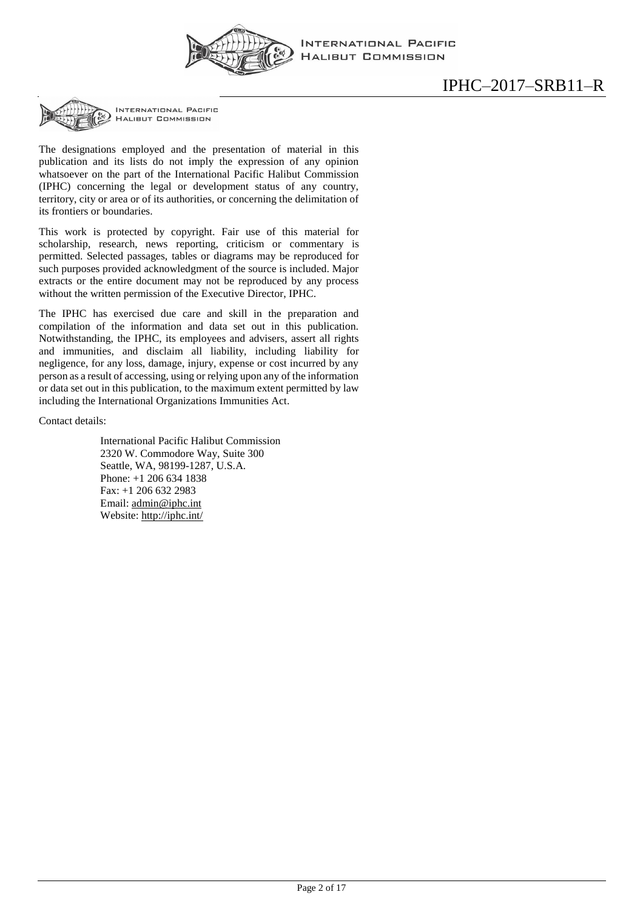

INTERNATIONAL PACIFIC **HALIBUT COMMISSION** 

**INTERNATIONAL PACIFIC HALIBUT COMMISSION** 

The designations employed and the presentation of material in this publication and its lists do not imply the expression of any opinion whatsoever on the part of the International Pacific Halibut Commission (IPHC) concerning the legal or development status of any country, territory, city or area or of its authorities, or concerning the delimitation of its frontiers or boundaries.

This work is protected by copyright. Fair use of this material for scholarship, research, news reporting, criticism or commentary is permitted. Selected passages, tables or diagrams may be reproduced for such purposes provided acknowledgment of the source is included. Major extracts or the entire document may not be reproduced by any process without the written permission of the Executive Director, IPHC.

The IPHC has exercised due care and skill in the preparation and compilation of the information and data set out in this publication. Notwithstanding, the IPHC, its employees and advisers, assert all rights and immunities, and disclaim all liability, including liability for negligence, for any loss, damage, injury, expense or cost incurred by any person as a result of accessing, using or relying upon any of the information or data set out in this publication, to the maximum extent permitted by law including the International Organizations Immunities Act.

Contact details:

International Pacific Halibut Commission 2320 W. Commodore Way, Suite 300 Seattle, WA, 98199-1287, U.S.A. Phone: +1 206 634 1838 Fax: +1 206 632 2983 Email: [admin@iphc.int](mailto:admin@iphc.int) Website:<http://iphc.int/>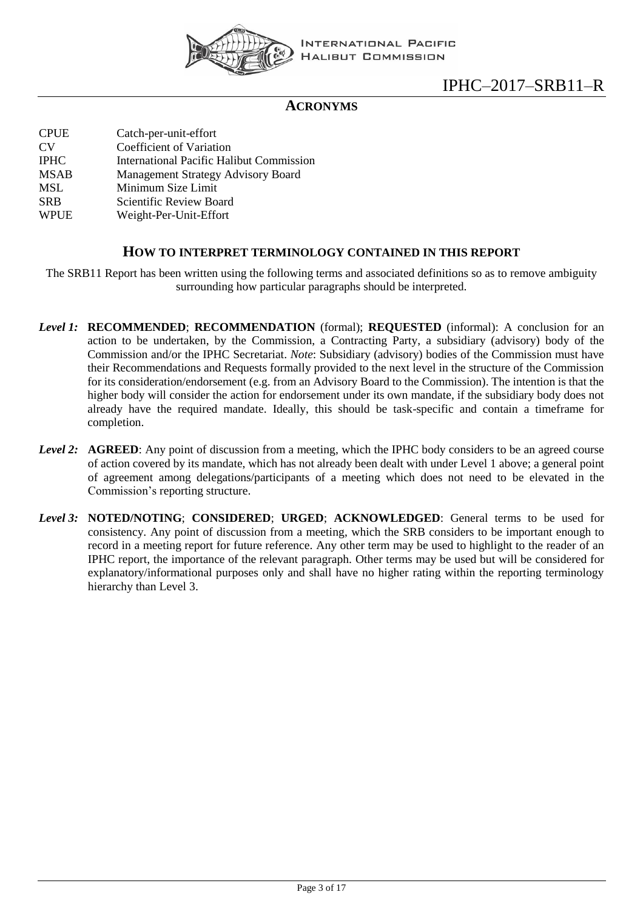

**INTERNATIONAL PACIFIC HALIBUT COMMISSION** 

# IPHC–2017–SRB11–R

## **ACRONYMS**

| <b>CPUE</b>    | Catch-per-unit-effort                           |
|----------------|-------------------------------------------------|
| CV <sub></sub> | Coefficient of Variation                        |
| <b>IPHC</b>    | <b>International Pacific Halibut Commission</b> |
| <b>MSAB</b>    | <b>Management Strategy Advisory Board</b>       |
| MSL            | Minimum Size Limit                              |
| <b>SRB</b>     | Scientific Review Board                         |
| <b>WPUE</b>    | Weight-Per-Unit-Effort                          |
|                |                                                 |

#### **HOW TO INTERPRET TERMINOLOGY CONTAINED IN THIS REPORT**

The SRB11 Report has been written using the following terms and associated definitions so as to remove ambiguity surrounding how particular paragraphs should be interpreted.

- *Level 1:* **RECOMMENDED**; **RECOMMENDATION** (formal); **REQUESTED** (informal): A conclusion for an action to be undertaken, by the Commission, a Contracting Party, a subsidiary (advisory) body of the Commission and/or the IPHC Secretariat. *Note*: Subsidiary (advisory) bodies of the Commission must have their Recommendations and Requests formally provided to the next level in the structure of the Commission for its consideration/endorsement (e.g. from an Advisory Board to the Commission). The intention is that the higher body will consider the action for endorsement under its own mandate, if the subsidiary body does not already have the required mandate. Ideally, this should be task-specific and contain a timeframe for completion.
- *Level 2:* **AGREED**: Any point of discussion from a meeting, which the IPHC body considers to be an agreed course of action covered by its mandate, which has not already been dealt with under Level 1 above; a general point of agreement among delegations/participants of a meeting which does not need to be elevated in the Commission's reporting structure.
- *Level 3:* **NOTED/NOTING**; **CONSIDERED**; **URGED**; **ACKNOWLEDGED**: General terms to be used for consistency. Any point of discussion from a meeting, which the SRB considers to be important enough to record in a meeting report for future reference. Any other term may be used to highlight to the reader of an IPHC report, the importance of the relevant paragraph. Other terms may be used but will be considered for explanatory/informational purposes only and shall have no higher rating within the reporting terminology hierarchy than Level 3.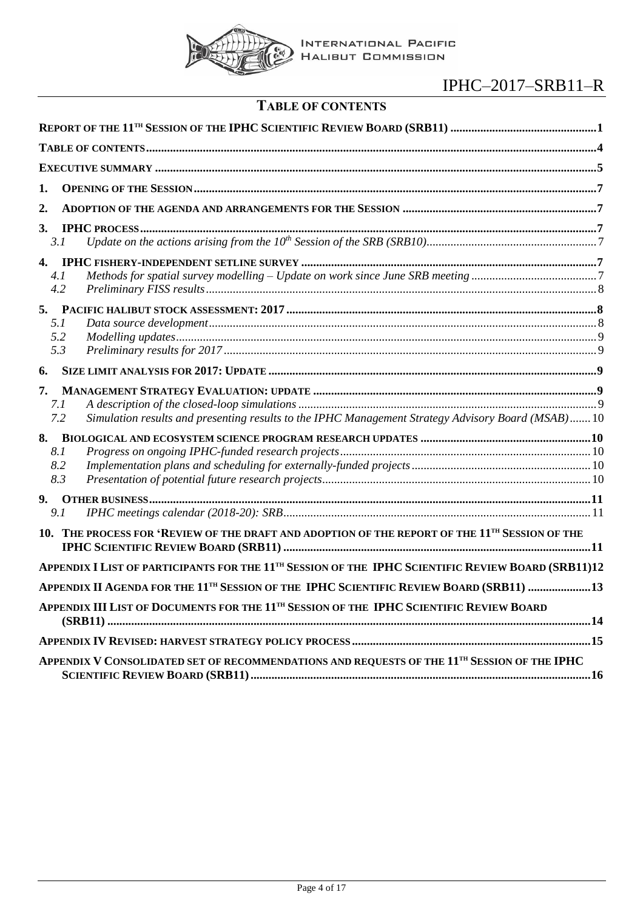

| <b>TABLE OF CONTENTS</b> |
|--------------------------|
|--------------------------|

<span id="page-3-0"></span>

| 1.                      |                                                                                                                |
|-------------------------|----------------------------------------------------------------------------------------------------------------|
| 2.                      |                                                                                                                |
| 3.<br>3.1               |                                                                                                                |
| 4.<br>4.1<br>4.2        |                                                                                                                |
| 5.<br>5.1<br>5.2<br>5.3 |                                                                                                                |
| 6.                      |                                                                                                                |
| 7.<br>7.1<br>7.2        | Simulation results and presenting results to the IPHC Management Strategy Advisory Board (MSAB) 10             |
| 8.<br>8.1<br>8.2<br>8.3 |                                                                                                                |
| 9.<br>9.1               |                                                                                                                |
| 10.                     | THE PROCESS FOR 'REVIEW OF THE DRAFT AND ADOPTION OF THE REPORT OF THE 11 <sup>TH</sup> SESSION OF THE         |
|                         | APPENDIX I LIST OF PARTICIPANTS FOR THE 11 <sup>TH</sup> SESSION OF THE IPHC SCIENTIFIC REVIEW BOARD (SRB11)12 |
|                         | APPENDIX II AGENDA FOR THE 11 <sup>TH</sup> SESSION OF THE IPHC SCIENTIFIC REVIEW BOARD (SRB11) 13             |
|                         | APPENDIX III LIST OF DOCUMENTS FOR THE 11 <sup>TH</sup> SESSION OF THE IPHC SCIENTIFIC REVIEW BOARD            |
|                         |                                                                                                                |
|                         | APPENDIX V CONSOLIDATED SET OF RECOMMENDATIONS AND REQUESTS OF THE 11 <sup>TH</sup> SESSION OF THE IPHC        |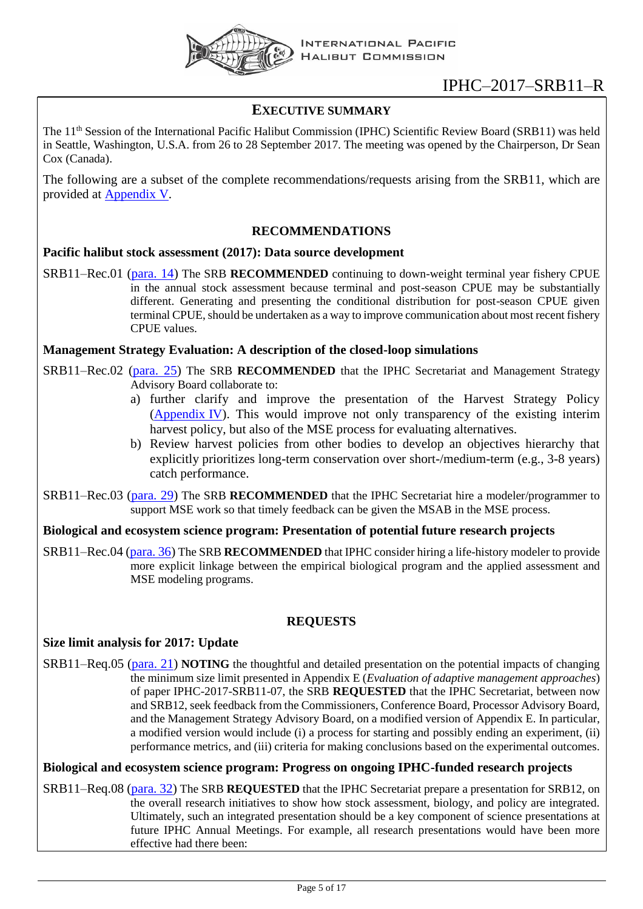

## <span id="page-4-0"></span>**EXECUTIVE SUMMARY**

The 11<sup>th</sup> Session of the International Pacific Halibut Commission (IPHC) Scientific Review Board (SRB11) was held in Seattle, Washington, U.S.A. from 26 to 28 September 2017. The meeting was opened by the Chairperson, Dr Sean Cox (Canada).

The following are a subset of the complete recommendations/requests arising from the SRB11, which are provided at [Appendix V.](#page-14-1)

## **RECOMMENDATIONS**

#### **Pacific halibut stock assessment (2017): Data source development**

SRB11–Rec.01 [\(para. 14\)](#page-7-3) The SRB **RECOMMENDED** continuing to down-weight terminal year fishery CPUE in the annual stock assessment because terminal and post-season CPUE may be substantially different. Generating and presenting the conditional distribution for post-season CPUE given terminal CPUE, should be undertaken as a way to improve communication about most recent fishery CPUE values.

#### **Management Strategy Evaluation: A description of the closed-loop simulations**

SRB11–Rec.02 [\(para. 25\)](#page-8-5) The SRB **RECOMMENDED** that the IPHC Secretariat and Management Strategy Advisory Board collaborate to:

- a) further clarify and improve the presentation of the Harvest Strategy Policy [\(Appendix](#page-14-0) IV). This would improve not only transparency of the existing interim harvest policy, but also of the MSE process for evaluating alternatives.
- b) Review harvest policies from other bodies to develop an objectives hierarchy that explicitly prioritizes long-term conservation over short-/medium-term (e.g., 3-8 years) catch performance.
- SRB11–Rec.03 [\(para. 29\)](#page-9-5) The SRB **RECOMMENDED** that the IPHC Secretariat hire a modeler/programmer to support MSE work so that timely feedback can be given the MSAB in the MSE process.

#### **Biological and ecosystem science program: Presentation of potential future research projects**

SRB11–Rec.04 [\(para. 36\)](#page-10-3) The SRB **RECOMMENDED** that IPHC consider hiring a life-history modeler to provide more explicit linkage between the empirical biological program and the applied assessment and MSE modeling programs.

## **REQUESTS**

#### **Size limit analysis for 2017: Update**

SRB11–Req.05 [\(para. 21\)](#page-8-6) **NOTING** the thoughtful and detailed presentation on the potential impacts of changing the minimum size limit presented in Appendix E (*Evaluation of adaptive management approaches*) of paper IPHC-2017-SRB11-07, the SRB **REQUESTED** that the IPHC Secretariat, between now and SRB12, seek feedback from the Commissioners, Conference Board, Processor Advisory Board, and the Management Strategy Advisory Board, on a modified version of Appendix E. In particular, a modified version would include (i) a process for starting and possibly ending an experiment, (ii) performance metrics, and (iii) criteria for making conclusions based on the experimental outcomes.

## **Biological and ecosystem science program: Progress on ongoing IPHC-funded research projects**

SRB11–Req.08 [\(para. 32\)](#page-9-6) The SRB **REQUESTED** that the IPHC Secretariat prepare a presentation for SRB12, on the overall research initiatives to show how stock assessment, biology, and policy are integrated. Ultimately, such an integrated presentation should be a key component of science presentations at future IPHC Annual Meetings. For example, all research presentations would have been more effective had there been: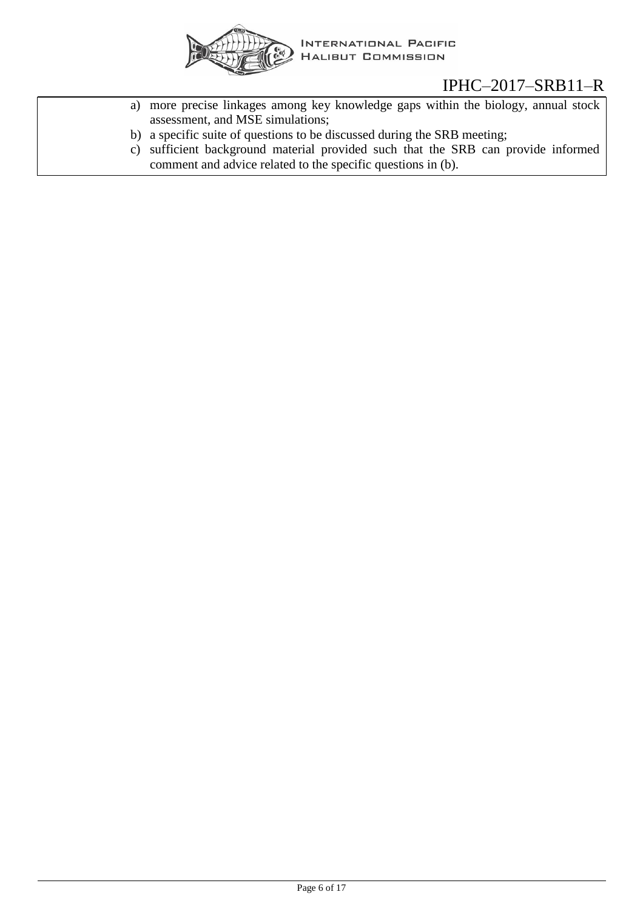

- a) more precise linkages among key knowledge gaps within the biology, annual stock assessment, and MSE simulations;
- b) a specific suite of questions to be discussed during the SRB meeting;
- c) sufficient background material provided such that the SRB can provide informed comment and advice related to the specific questions in (b).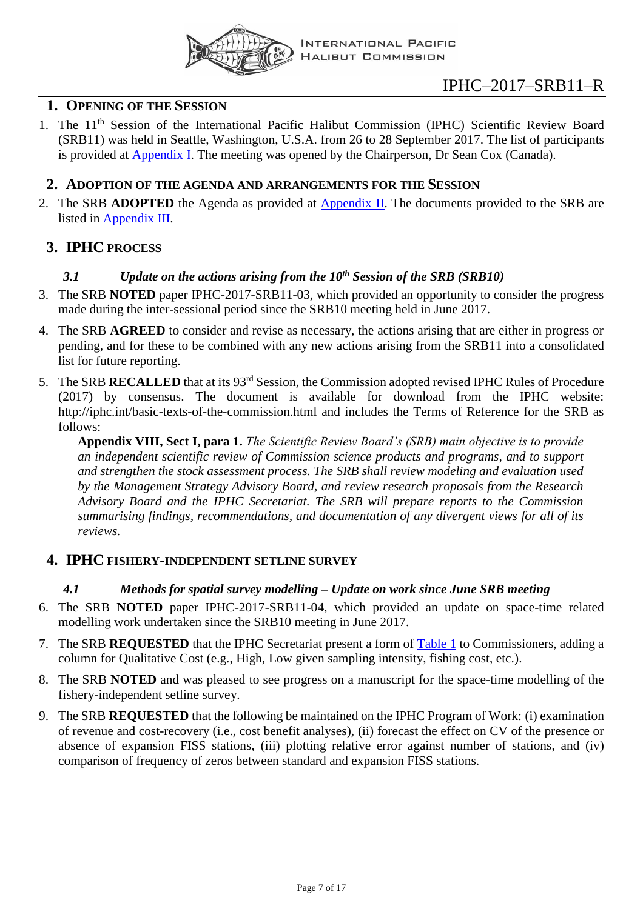

## <span id="page-6-0"></span>**1. OPENING OF THE SESSION**

1. The 11<sup>th</sup> Session of the International Pacific Halibut Commission (IPHC) Scientific Review Board (SRB11) was held in Seattle, Washington, U.S.A. from 26 to 28 September 2017. The list of participants is provided at [Appendix I.](#page-11-0) The meeting was opened by the Chairperson, Dr Sean Cox (Canada).

## <span id="page-6-1"></span>**2. ADOPTION OF THE AGENDA AND ARRANGEMENTS FOR THE SESSION**

2. The SRB **ADOPTED** the Agenda as provided at [Appendix II.](#page-12-0) The documents provided to the SRB are listed in [Appendix III.](#page-13-0)

## <span id="page-6-3"></span><span id="page-6-2"></span>**3. IPHC PROCESS**

## *3.1 Update on the actions arising from the 10th Session of the SRB (SRB10)*

- 3. The SRB **NOTED** paper IPHC-2017-SRB11-03, which provided an opportunity to consider the progress made during the inter-sessional period since the SRB10 meeting held in June 2017.
- 4. The SRB **AGREED** to consider and revise as necessary, the actions arising that are either in progress or pending, and for these to be combined with any new actions arising from the SRB11 into a consolidated list for future reporting.
- 5. The SRB **RECALLED** that at its 93rd Session, the Commission adopted revised IPHC Rules of Procedure (2017) by consensus. The document is available for download from the IPHC website: <http://iphc.int/basic-texts-of-the-commission.html> and includes the Terms of Reference for the SRB as follows:

**Appendix VIII, Sect I, para 1.** *The Scientific Review Board's (SRB) main objective is to provide an independent scientific review of Commission science products and programs, and to support and strengthen the stock assessment process. The SRB shall review modeling and evaluation used by the Management Strategy Advisory Board, and review research proposals from the Research Advisory Board and the IPHC Secretariat. The SRB will prepare reports to the Commission summarising findings, recommendations, and documentation of any divergent views for all of its reviews.*

## <span id="page-6-5"></span><span id="page-6-4"></span>**4. IPHC FISHERY-INDEPENDENT SETLINE SURVEY**

## *4.1 Methods for spatial survey modelling – Update on work since June SRB meeting*

- 6. The SRB **NOTED** paper IPHC-2017-SRB11-04, which provided an update on space-time related modelling work undertaken since the SRB10 meeting in June 2017.
- <span id="page-6-6"></span>7. The SRB **REQUESTED** that the IPHC Secretariat present a form of [Table 1](#page-7-4) to Commissioners, adding a column for Qualitative Cost (e.g., High, Low given sampling intensity, fishing cost, etc.).
- 8. The SRB **NOTED** and was pleased to see progress on a manuscript for the space-time modelling of the fishery-independent setline survey.
- <span id="page-6-7"></span>9. The SRB **REQUESTED** that the following be maintained on the IPHC Program of Work: (i) examination of revenue and cost-recovery (i.e., cost benefit analyses), (ii) forecast the effect on CV of the presence or absence of expansion FISS stations, (iii) plotting relative error against number of stations, and (iv) comparison of frequency of zeros between standard and expansion FISS stations.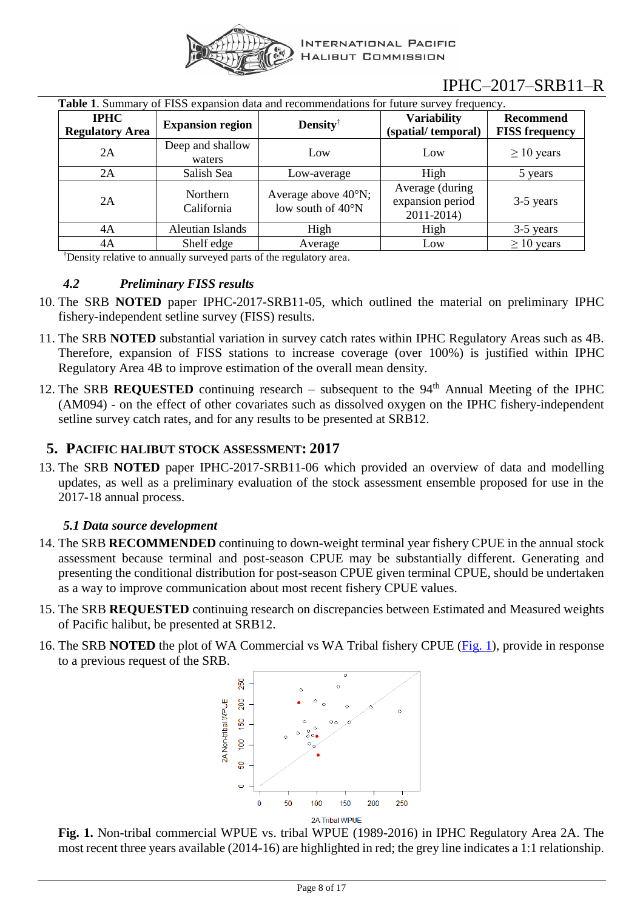

<span id="page-7-4"></span>

| <b>Table 1.</b> Summary of FISS expansion data and recommendations for future survey frequency. |                            |                                                              |                                                    |                                           |
|-------------------------------------------------------------------------------------------------|----------------------------|--------------------------------------------------------------|----------------------------------------------------|-------------------------------------------|
| <b>IPHC</b><br><b>Regulatory Area</b>                                                           | <b>Expansion region</b>    | Density                                                      | <b>Variability</b><br>(spatial/temporal)           | <b>Recommend</b><br><b>FISS</b> frequency |
| 2A                                                                                              | Deep and shallow<br>waters | Low                                                          | Low                                                | $\geq 10$ years                           |
| 2A                                                                                              | Salish Sea                 | Low-average                                                  | High                                               | 5 years                                   |
| 2A                                                                                              | Northern<br>California     | Average above $40^{\circ}$ N;<br>low south of $40^{\circ}$ N | Average (during)<br>expansion period<br>2011-2014) | 3-5 years                                 |
| 4A                                                                                              | Aleutian Islands           | High                                                         | High                                               | 3-5 years                                 |
| 4A                                                                                              | Shelf edge                 | Average                                                      | Low                                                | $\geq 10$ years                           |

†Density relative to annually surveyed parts of the regulatory area.

## <span id="page-7-0"></span>*4.2 Preliminary FISS results*

- 10. The SRB **NOTED** paper IPHC-2017-SRB11-05, which outlined the material on preliminary IPHC fishery-independent setline survey (FISS) results.
- 11. The SRB **NOTED** substantial variation in survey catch rates within IPHC Regulatory Areas such as 4B. Therefore, expansion of FISS stations to increase coverage (over 100%) is justified within IPHC Regulatory Area 4B to improve estimation of the overall mean density.
- <span id="page-7-6"></span>12. The SRB **REQUESTED** continuing research – subsequent to the  $94<sup>th</sup>$  Annual Meeting of the IPHC (AM094) - on the effect of other covariates such as dissolved oxygen on the IPHC fishery-independent setline survey catch rates, and for any results to be presented at SRB12.

## <span id="page-7-1"></span>**5. PACIFIC HALIBUT STOCK ASSESSMENT: 2017**

13. The SRB **NOTED** paper IPHC-2017-SRB11-06 which provided an overview of data and modelling updates, as well as a preliminary evaluation of the stock assessment ensemble proposed for use in the 2017-18 annual process.

## *5.1 Data source development*

- <span id="page-7-3"></span><span id="page-7-2"></span>14. The SRB **RECOMMENDED** continuing to down-weight terminal year fishery CPUE in the annual stock assessment because terminal and post-season CPUE may be substantially different. Generating and presenting the conditional distribution for post-season CPUE given terminal CPUE, should be undertaken as a way to improve communication about most recent fishery CPUE values.
- <span id="page-7-7"></span>15. The SRB **REQUESTED** continuing research on discrepancies between Estimated and Measured weights of Pacific halibut, be presented at SRB12.
- <span id="page-7-5"></span>16. The SRB **NOTED** the plot of WA Commercial vs WA Tribal fishery CPUE [\(Fig. 1\)](#page-7-5), provide in response to a previous request of the SRB.



**Fig. 1.** Non-tribal commercial WPUE vs. tribal WPUE (1989-2016) in IPHC Regulatory Area 2A. The most recent three years available (2014-16) are highlighted in red; the grey line indicates a 1:1 relationship.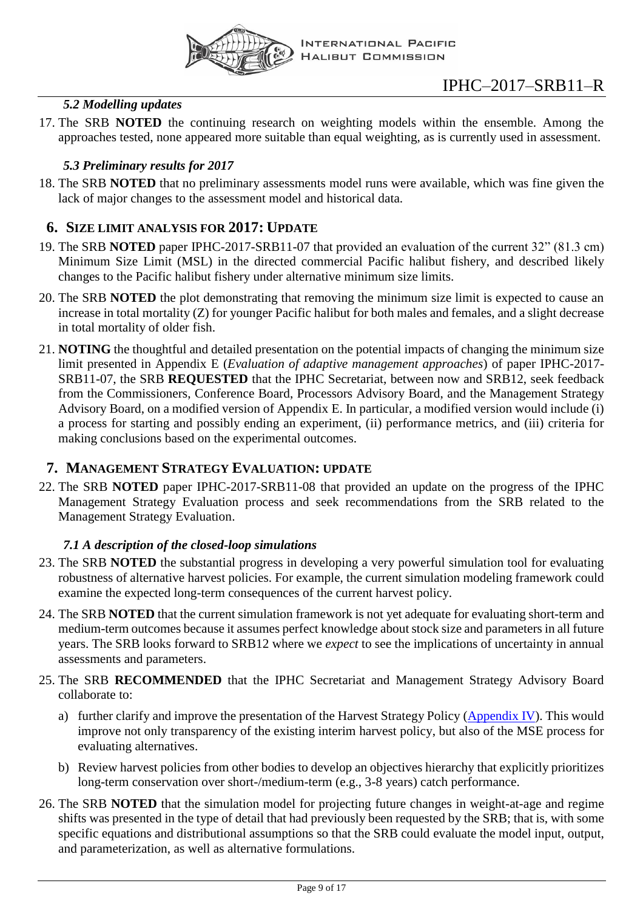

## *5.2 Modelling updates*

<span id="page-8-0"></span>17. The SRB **NOTED** the continuing research on weighting models within the ensemble. Among the approaches tested, none appeared more suitable than equal weighting, as is currently used in assessment.

## *5.3 Preliminary results for 2017*

<span id="page-8-1"></span>18. The SRB **NOTED** that no preliminary assessments model runs were available, which was fine given the lack of major changes to the assessment model and historical data.

## <span id="page-8-2"></span>**6. SIZE LIMIT ANALYSIS FOR 2017: UPDATE**

- 19. The SRB **NOTED** paper IPHC-2017-SRB11-07 that provided an evaluation of the current 32" (81.3 cm) Minimum Size Limit (MSL) in the directed commercial Pacific halibut fishery, and described likely changes to the Pacific halibut fishery under alternative minimum size limits.
- 20. The SRB **NOTED** the plot demonstrating that removing the minimum size limit is expected to cause an increase in total mortality (Z) for younger Pacific halibut for both males and females, and a slight decrease in total mortality of older fish.
- <span id="page-8-6"></span>21. **NOTING** the thoughtful and detailed presentation on the potential impacts of changing the minimum size limit presented in Appendix E (*Evaluation of adaptive management approaches*) of paper IPHC-2017- SRB11-07, the SRB **REQUESTED** that the IPHC Secretariat, between now and SRB12, seek feedback from the Commissioners, Conference Board, Processors Advisory Board, and the Management Strategy Advisory Board, on a modified version of Appendix E. In particular, a modified version would include (i) a process for starting and possibly ending an experiment, (ii) performance metrics, and (iii) criteria for making conclusions based on the experimental outcomes.

## <span id="page-8-3"></span>**7. MANAGEMENT STRATEGY EVALUATION: UPDATE**

22. The SRB **NOTED** paper IPHC-2017-SRB11-08 that provided an update on the progress of the IPHC Management Strategy Evaluation process and seek recommendations from the SRB related to the Management Strategy Evaluation.

## *7.1 A description of the closed-loop simulations*

- <span id="page-8-7"></span><span id="page-8-4"></span>23. The SRB **NOTED** the substantial progress in developing a very powerful simulation tool for evaluating robustness of alternative harvest policies. For example, the current simulation modeling framework could examine the expected long-term consequences of the current harvest policy.
- 24. The SRB **NOTED** that the current simulation framework is not yet adequate for evaluating short-term and medium-term outcomes because it assumes perfect knowledge about stock size and parameters in all future years. The SRB looks forward to SRB12 where we *expect* to see the implications of uncertainty in annual assessments and parameters.
- <span id="page-8-5"></span>25. The SRB **RECOMMENDED** that the IPHC Secretariat and Management Strategy Advisory Board collaborate to:
	- a) further clarify and improve the presentation of the Harvest Strategy Policy [\(Appendix IV\)](#page-14-0). This would improve not only transparency of the existing interim harvest policy, but also of the MSE process for evaluating alternatives.
	- b) Review harvest policies from other bodies to develop an objectives hierarchy that explicitly prioritizes long-term conservation over short-/medium-term (e.g., 3-8 years) catch performance.
- 26. The SRB **NOTED** that the simulation model for projecting future changes in weight-at-age and regime shifts was presented in the type of detail that had previously been requested by the SRB; that is, with some specific equations and distributional assumptions so that the SRB could evaluate the model input, output, and parameterization, as well as alternative formulations.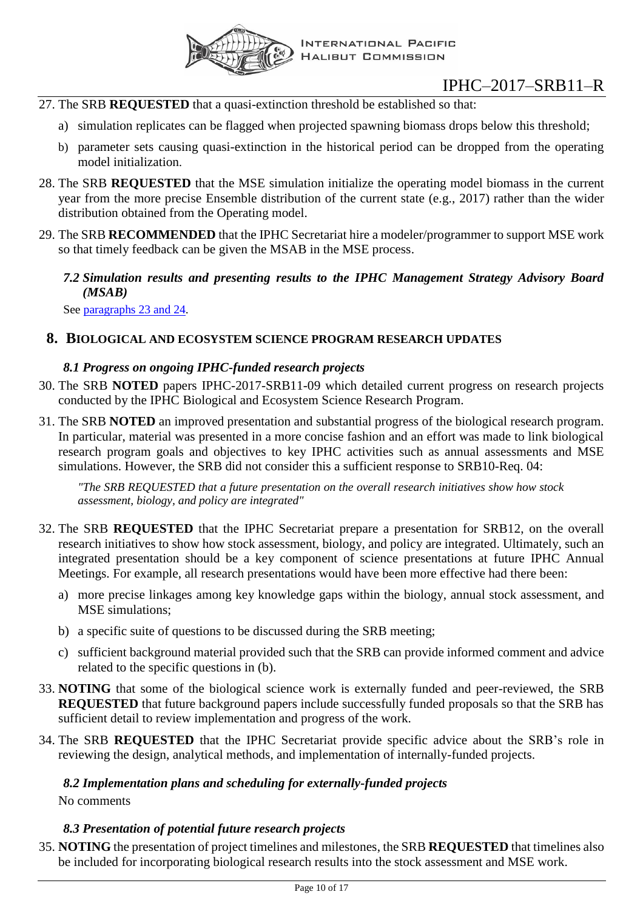

- <span id="page-9-7"></span>27. The SRB **REQUESTED** that a quasi-extinction threshold be established so that:
	- a) simulation replicates can be flagged when projected spawning biomass drops below this threshold;
	- b) parameter sets causing quasi-extinction in the historical period can be dropped from the operating model initialization.
- <span id="page-9-8"></span>28. The SRB **REQUESTED** that the MSE simulation initialize the operating model biomass in the current year from the more precise Ensemble distribution of the current state (e.g., 2017) rather than the wider distribution obtained from the Operating model.
- <span id="page-9-5"></span><span id="page-9-0"></span>29. The SRB **RECOMMENDED** that the IPHC Secretariat hire a modeler/programmer to support MSE work so that timely feedback can be given the MSAB in the MSE process.
	- *7.2 Simulation results and presenting results to the IPHC Management Strategy Advisory Board (MSAB)*

See [paragraphs 23 and 24.](#page-8-7)

## <span id="page-9-2"></span><span id="page-9-1"></span>**8. BIOLOGICAL AND ECOSYSTEM SCIENCE PROGRAM RESEARCH UPDATES**

## *8.1 Progress on ongoing IPHC-funded research projects*

- 30. The SRB **NOTED** papers IPHC-2017-SRB11-09 which detailed current progress on research projects conducted by the IPHC Biological and Ecosystem Science Research Program.
- 31. The SRB **NOTED** an improved presentation and substantial progress of the biological research program. In particular, material was presented in a more concise fashion and an effort was made to link biological research program goals and objectives to key IPHC activities such as annual assessments and MSE simulations. However, the SRB did not consider this a sufficient response to SRB10-Req. 04:

*"The SRB REQUESTED that a future presentation on the overall research initiatives show how stock assessment, biology, and policy are integrated"*

- <span id="page-9-6"></span>32. The SRB **REQUESTED** that the IPHC Secretariat prepare a presentation for SRB12, on the overall research initiatives to show how stock assessment, biology, and policy are integrated. Ultimately, such an integrated presentation should be a key component of science presentations at future IPHC Annual Meetings. For example, all research presentations would have been more effective had there been:
	- a) more precise linkages among key knowledge gaps within the biology, annual stock assessment, and MSE simulations;
	- b) a specific suite of questions to be discussed during the SRB meeting;
	- c) sufficient background material provided such that the SRB can provide informed comment and advice related to the specific questions in (b).
- <span id="page-9-9"></span>33. **NOTING** that some of the biological science work is externally funded and peer-reviewed, the SRB **REQUESTED** that future background papers include successfully funded proposals so that the SRB has sufficient detail to review implementation and progress of the work.
- <span id="page-9-10"></span>34. The SRB **REQUESTED** that the IPHC Secretariat provide specific advice about the SRB's role in reviewing the design, analytical methods, and implementation of internally-funded projects.

#### <span id="page-9-3"></span>*8.2 Implementation plans and scheduling for externally-funded projects*

No comments

## *8.3 Presentation of potential future research projects*

<span id="page-9-11"></span><span id="page-9-4"></span>35. **NOTING** the presentation of project timelines and milestones, the SRB **REQUESTED** that timelines also be included for incorporating biological research results into the stock assessment and MSE work.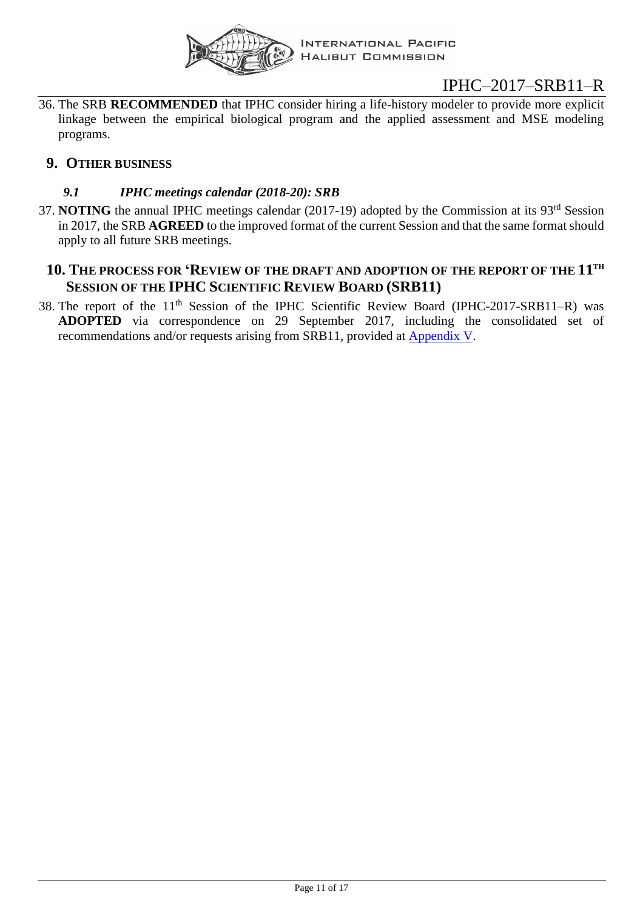

<span id="page-10-3"></span>36. The SRB **RECOMMENDED** that IPHC consider hiring a life-history modeler to provide more explicit linkage between the empirical biological program and the applied assessment and MSE modeling programs.

## <span id="page-10-1"></span><span id="page-10-0"></span>**9. OTHER BUSINESS**

## *9.1 IPHC meetings calendar (2018-20): SRB*

37. **NOTING** the annual IPHC meetings calendar (2017-19) adopted by the Commission at its 93<sup>rd</sup> Session in 2017, the SRB **AGREED** to the improved format of the current Session and that the same format should apply to all future SRB meetings.

## <span id="page-10-2"></span>**10. THE PROCESS FOR 'REVIEW OF THE DRAFT AND ADOPTION OF THE REPORT OF THE 11 TH SESSION OF THE IPHC SCIENTIFIC REVIEW BOARD (SRB11)**

38. The report of the 11<sup>th</sup> Session of the IPHC Scientific Review Board (IPHC-2017-SRB11-R) was **ADOPTED** via correspondence on 29 September 2017, including the consolidated set of recommendations and/or requests arising from SRB11, provided at [Appendix V.](#page-14-1)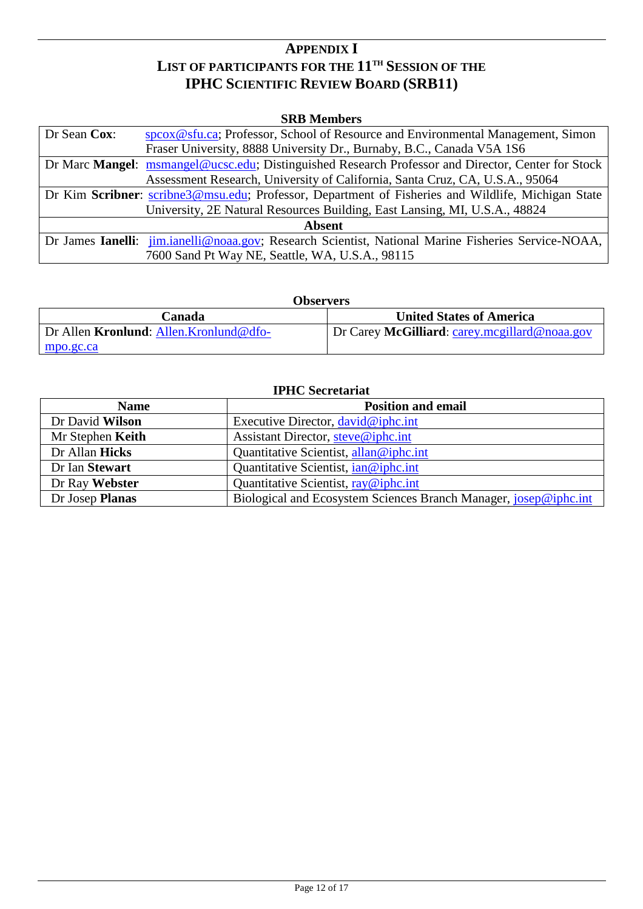## **APPENDIX I LIST OF PARTICIPANTS FOR THE 11 TH SESSION OF THE IPHC SCIENTIFIC REVIEW BOARD (SRB11)**

#### **SRB Members**

<span id="page-11-0"></span>

| Dr Sean Cox:                                                                                       | speox@sfu.ca; Professor, School of Resource and Environmental Management, Simon                            |  |
|----------------------------------------------------------------------------------------------------|------------------------------------------------------------------------------------------------------------|--|
|                                                                                                    | Fraser University, 8888 University Dr., Burnaby, B.C., Canada V5A 1S6                                      |  |
|                                                                                                    | Dr Marc Mangel: msmangel@ucsc.edu; Distinguished Research Professor and Director, Center for Stock         |  |
|                                                                                                    | Assessment Research, University of California, Santa Cruz, CA, U.S.A., 95064                               |  |
| Dr Kim Scribner: scribne3@msu.edu; Professor, Department of Fisheries and Wildlife, Michigan State |                                                                                                            |  |
| University, 2E Natural Resources Building, East Lansing, MI, U.S.A., 48824                         |                                                                                                            |  |
| <b>Absent</b>                                                                                      |                                                                                                            |  |
|                                                                                                    | Dr James <b>Ianelli:</b> jim.janelli@noaa.gov; Research Scientist, National Marine Fisheries Service-NOAA, |  |
|                                                                                                    | 7600 Sand Pt Way NE, Seattle, WA, U.S.A., 98115                                                            |  |

| <b>Observers</b>                       |                                               |  |
|----------------------------------------|-----------------------------------------------|--|
| Canada                                 | <b>United States of America</b>               |  |
| Dr Allen Kronlund: Allen.Kronlund@dfo- | Dr Carey McGilliard: carey.mcgillard@noaa.gov |  |
| mpo.gc.ca                              |                                               |  |

| <b>IPHC</b> Secretariat                  |                                                                  |  |
|------------------------------------------|------------------------------------------------------------------|--|
| <b>Position and email</b><br><b>Name</b> |                                                                  |  |
| Dr David Wilson                          | Executive Director, david@iphc.int                               |  |
| Mr Stephen Keith                         | Assistant Director, steve@iphc.int                               |  |
| Dr Allan Hicks                           | Quantitative Scientist, allan@iphc.int                           |  |
| Dr Ian Stewart                           | Quantitative Scientist, $ian@iphc.int$                           |  |
| Dr Ray Webster                           | Quantitative Scientist, $ray@iphc.int$                           |  |
| Dr Josep Planas                          | Biological and Ecosystem Sciences Branch Manager, josep@iphc.int |  |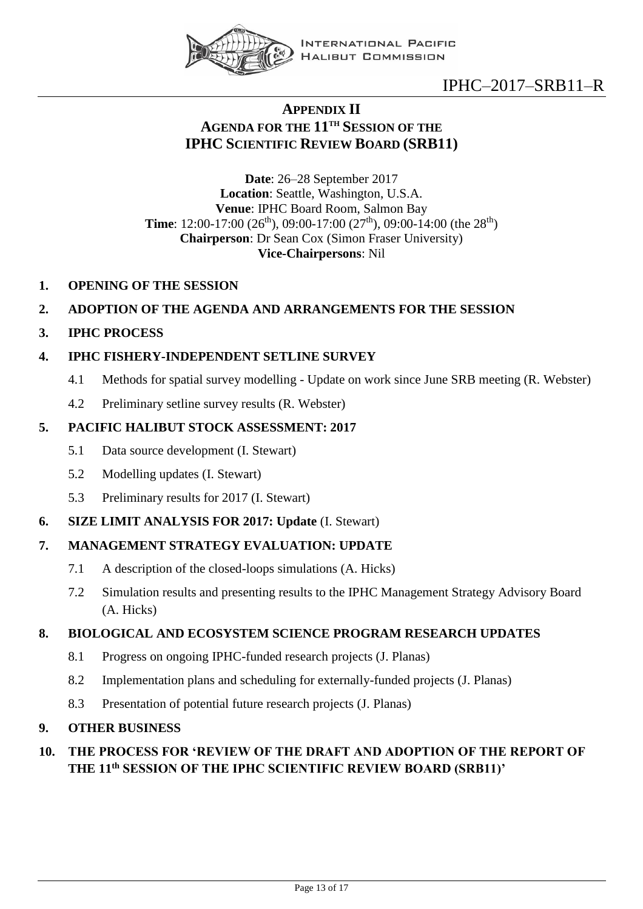

**INTERNATIONAL PACIFIC HALIBUT COMMISSION** 

# IPHC–2017–SRB11–R

## **APPENDIX II AGENDA FOR THE 11 TH SESSION OF THE IPHC SCIENTIFIC REVIEW BOARD (SRB11)**

<span id="page-12-0"></span>**Date**: 26–28 September 2017 **Location**: Seattle, Washington, U.S.A. **Venue**: IPHC Board Room, Salmon Bay **Time**: 12:00-17:00 (26<sup>th</sup>), 09:00-17:00 (27<sup>th</sup>), 09:00-14:00 (the 28<sup>th</sup>) **Chairperson**: Dr Sean Cox (Simon Fraser University) **Vice-Chairpersons**: Nil

**1. OPENING OF THE SESSION**

## **2. ADOPTION OF THE AGENDA AND ARRANGEMENTS FOR THE SESSION**

**3. IPHC PROCESS**

## **4. IPHC FISHERY-INDEPENDENT SETLINE SURVEY**

- 4.1 Methods for spatial survey modelling Update on work since June SRB meeting (R. Webster)
- 4.2 Preliminary setline survey results (R. Webster)

## **5. PACIFIC HALIBUT STOCK ASSESSMENT: 2017**

- 5.1 Data source development (I. Stewart)
- 5.2 Modelling updates (I. Stewart)
- 5.3 Preliminary results for 2017 (I. Stewart)
- **6. SIZE LIMIT ANALYSIS FOR 2017: Update** (I. Stewart)

## **7. MANAGEMENT STRATEGY EVALUATION: UPDATE**

- 7.1 A description of the closed-loops simulations (A. Hicks)
- 7.2 Simulation results and presenting results to the IPHC Management Strategy Advisory Board (A. Hicks)

## **8. BIOLOGICAL AND ECOSYSTEM SCIENCE PROGRAM RESEARCH UPDATES**

- 8.1 Progress on ongoing IPHC-funded research projects (J. Planas)
- 8.2 Implementation plans and scheduling for externally-funded projects (J. Planas)
- 8.3 Presentation of potential future research projects (J. Planas)

## **9. OTHER BUSINESS**

## **10. THE PROCESS FOR 'REVIEW OF THE DRAFT AND ADOPTION OF THE REPORT OF THE 11th SESSION OF THE IPHC SCIENTIFIC REVIEW BOARD (SRB11)'**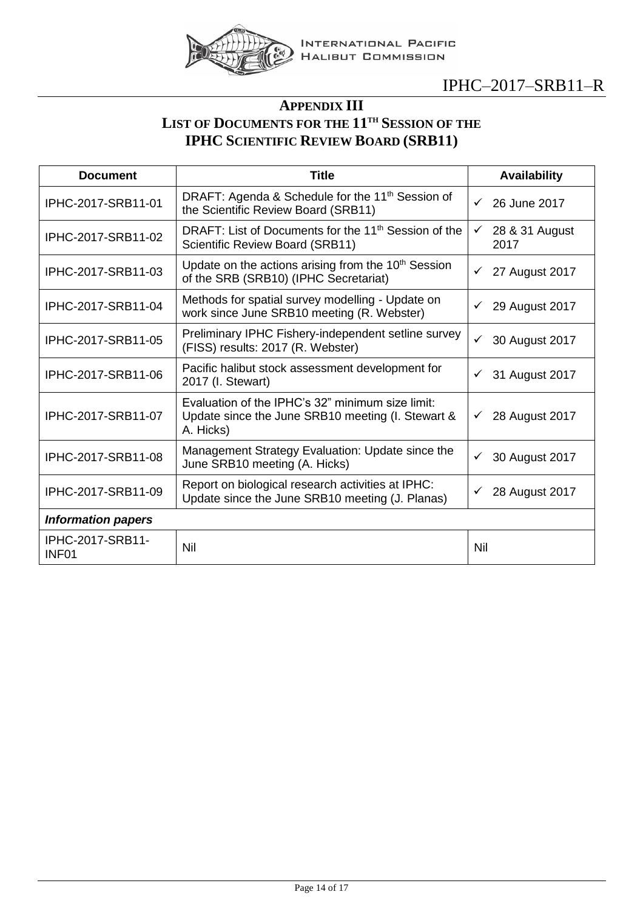

## **APPENDIX III LIST OF DOCUMENTS FOR THE 11 TH SESSION OF THE IPHC SCIENTIFIC REVIEW BOARD (SRB11)**

<span id="page-13-0"></span>

| <b>Document</b>                       | <b>Title</b>                                                                                                       |                                        |
|---------------------------------------|--------------------------------------------------------------------------------------------------------------------|----------------------------------------|
| IPHC-2017-SRB11-01                    | DRAFT: Agenda & Schedule for the 11 <sup>th</sup> Session of<br>the Scientific Review Board (SRB11)                | 26 June 2017<br>$\checkmark$           |
| IPHC-2017-SRB11-02                    | DRAFT: List of Documents for the 11 <sup>th</sup> Session of the<br>Scientific Review Board (SRB11)                | 28 & 31 August<br>$\checkmark$<br>2017 |
| IPHC-2017-SRB11-03                    | Update on the actions arising from the 10 <sup>th</sup> Session<br>of the SRB (SRB10) (IPHC Secretariat)           | 27 August 2017<br>✓                    |
| IPHC-2017-SRB11-04                    | Methods for spatial survey modelling - Update on<br>work since June SRB10 meeting (R. Webster)                     | 29 August 2017<br>✓                    |
| IPHC-2017-SRB11-05                    | Preliminary IPHC Fishery-independent setline survey<br>(FISS) results: 2017 (R. Webster)                           | ✓<br>30 August 2017                    |
| IPHC-2017-SRB11-06                    | Pacific halibut stock assessment development for<br>2017 (I. Stewart)                                              | 31 August 2017                         |
| IPHC-2017-SRB11-07                    | Evaluation of the IPHC's 32" minimum size limit:<br>Update since the June SRB10 meeting (I. Stewart &<br>A. Hicks) | 28 August 2017<br>✓                    |
| IPHC-2017-SRB11-08                    | Management Strategy Evaluation: Update since the<br>June SRB10 meeting (A. Hicks)                                  | 30 August 2017<br>✓                    |
| IPHC-2017-SRB11-09                    | Report on biological research activities at IPHC:<br>Update since the June SRB10 meeting (J. Planas)               | 28 August 2017<br>✓                    |
| <b>Information papers</b>             |                                                                                                                    |                                        |
| IPHC-2017-SRB11-<br>INF <sub>01</sub> | Nil                                                                                                                | Nil                                    |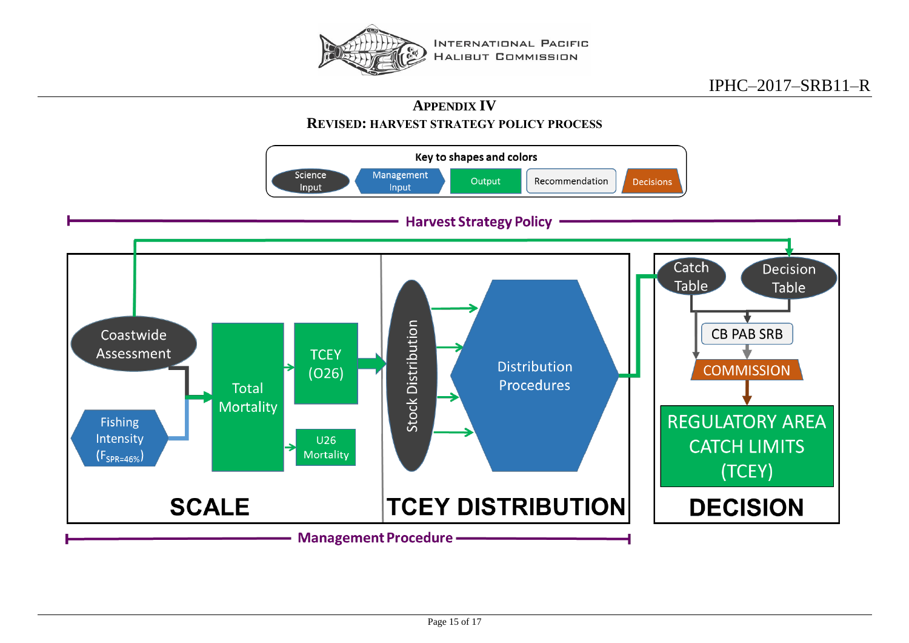

**APPENDIX IV REVISED: HARVEST STRATEGY POLICY PROCESS** 

<span id="page-14-1"></span><span id="page-14-0"></span>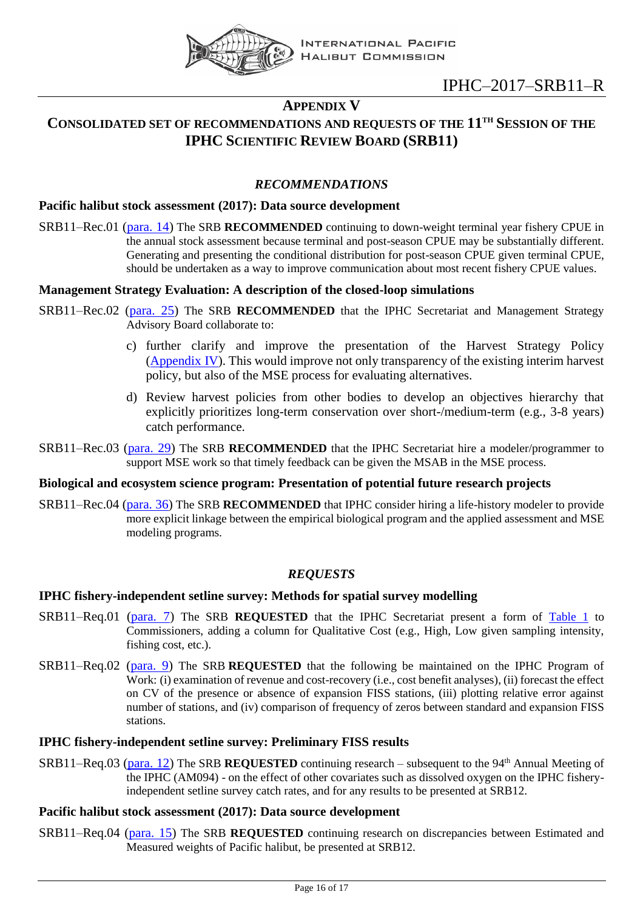

## **APPENDIX V**

## <span id="page-15-0"></span>**CONSOLIDATED SET OF RECOMMENDATIONS AND REQUESTS OF THE 11 TH SESSION OF THE IPHC SCIENTIFIC REVIEW BOARD (SRB11)**

## *RECOMMENDATIONS*

#### **Pacific halibut stock assessment (2017): Data source development**

SRB11–Rec.01 [\(para. 14\)](#page-7-3) The SRB **RECOMMENDED** continuing to down-weight terminal year fishery CPUE in the annual stock assessment because terminal and post-season CPUE may be substantially different. Generating and presenting the conditional distribution for post-season CPUE given terminal CPUE, should be undertaken as a way to improve communication about most recent fishery CPUE values.

#### **Management Strategy Evaluation: A description of the closed-loop simulations**

- SRB11–Rec.02 [\(para. 25\)](#page-8-5) The SRB **RECOMMENDED** that the IPHC Secretariat and Management Strategy Advisory Board collaborate to:
	- c) further clarify and improve the presentation of the Harvest Strategy Policy [\(Appendix](#page-14-0) IV). This would improve not only transparency of the existing interim harvest policy, but also of the MSE process for evaluating alternatives.
	- d) Review harvest policies from other bodies to develop an objectives hierarchy that explicitly prioritizes long-term conservation over short-/medium-term (e.g., 3-8 years) catch performance.
- SRB11–Rec.03 [\(para. 29\)](#page-9-5) The SRB **RECOMMENDED** that the IPHC Secretariat hire a modeler/programmer to support MSE work so that timely feedback can be given the MSAB in the MSE process.

#### **Biological and ecosystem science program: Presentation of potential future research projects**

SRB11–Rec.04 [\(para. 36\)](#page-10-3) The SRB **RECOMMENDED** that IPHC consider hiring a life-history modeler to provide more explicit linkage between the empirical biological program and the applied assessment and MSE modeling programs.

## *REQUESTS*

#### **IPHC fishery-independent setline survey: Methods for spatial survey modelling**

- SRB11–Req.01 [\(para. 7\)](#page-6-6) The SRB **REQUESTED** that the IPHC Secretariat present a form of [Table 1](#page-7-4) to Commissioners, adding a column for Qualitative Cost (e.g., High, Low given sampling intensity, fishing cost, etc.).
- SRB11–Req.02 [\(para. 9\)](#page-6-7) The SRB **REQUESTED** that the following be maintained on the IPHC Program of Work: (i) examination of revenue and cost-recovery (i.e., cost benefit analyses), (ii) forecast the effect on CV of the presence or absence of expansion FISS stations, (iii) plotting relative error against number of stations, and (iv) comparison of frequency of zeros between standard and expansion FISS stations.

#### **IPHC fishery-independent setline survey: Preliminary FISS results**

SRB11–Req.03 [\(para. 12\)](#page-7-6) The SRB **REQUESTED** continuing research – subsequent to the 94th Annual Meeting of the IPHC (AM094) - on the effect of other covariates such as dissolved oxygen on the IPHC fisheryindependent setline survey catch rates, and for any results to be presented at SRB12.

#### **Pacific halibut stock assessment (2017): Data source development**

SRB11–Req.04 [\(para. 15\)](#page-7-7) The SRB **REQUESTED** continuing research on discrepancies between Estimated and Measured weights of Pacific halibut, be presented at SRB12.